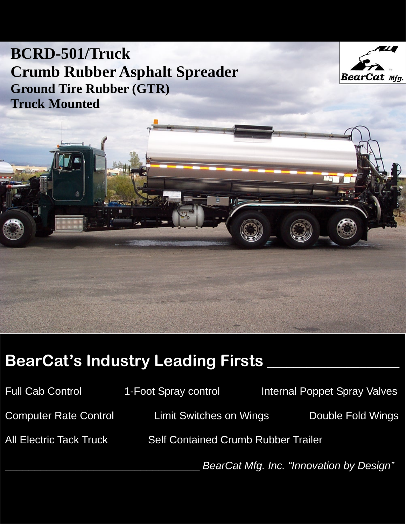## **BCRD-501/Truck Crumb Rubber Asphalt Spreader Ground Tire Rubber (GTR) Truck Mounted**



# **BearCat's Industry Leading Firsts \_\_\_\_\_\_\_\_\_\_\_\_\_\_\_\_\_\_\_\_**

| <b>Full Cab Control</b>        | 1-Foot Spray control                       |  | <b>Internal Poppet Spray Valves</b>      |
|--------------------------------|--------------------------------------------|--|------------------------------------------|
| <b>Computer Rate Control</b>   | <b>Limit Switches on Wings</b>             |  | Double Fold Wings                        |
| <b>All Electric Tack Truck</b> | <b>Self Contained Crumb Rubber Trailer</b> |  |                                          |
|                                |                                            |  | BearCat Mfg. Inc. "Innovation by Design" |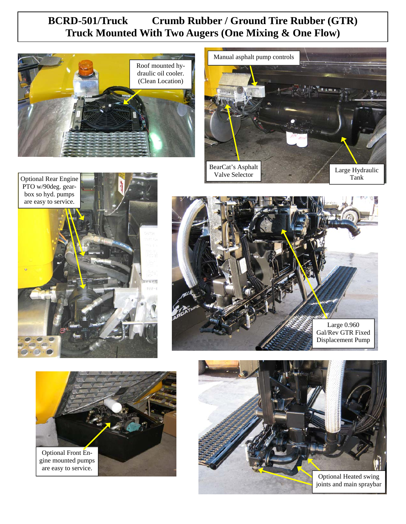## **BCRD-501/Truck Crumb Rubber / Ground Tire Rubber (GTR) Truck Mounted With Two Augers (One Mixing & One Flow)**











Optional Heated swing joints and main spraybar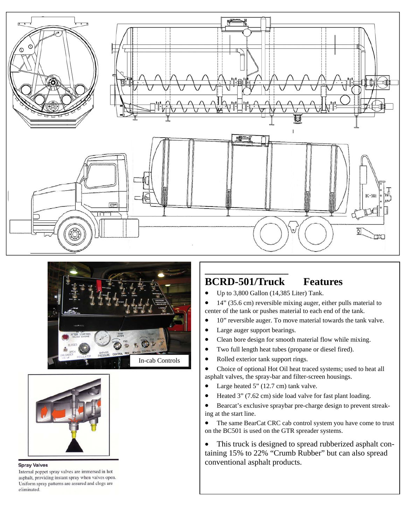





#### **Spray Valves**

Internal poppet spray valves are immersed in hot asphalt, providing instant spray when valves open. Uniform spray patterns are assured and clogs are eliminated.

### **BCRD-501/Truck Features**

• Up to 3,800 Gallon (14,385 Liter) Tank.

• 14" (35.6 cm) reversible mixing auger, either pulls material to center of the tank or pushes material to each end of the tank.

- 10" reversible auger. To move material towards the tank valve.
- Large auger support bearings.

**\_\_\_\_\_\_\_\_\_\_\_\_\_\_\_\_\_\_** 

- Clean bore design for smooth material flow while mixing.
- Two full length heat tubes (propane or diesel fired).
- Rolled exterior tank support rings.

• Choice of optional Hot Oil heat traced systems; used to heat all asphalt valves, the spray-bar and filter-screen housings.

- Large heated 5" (12.7 cm) tank valve.
- Heated 3" (7.62 cm) side load valve for fast plant loading.

• Bearcat's exclusive spraybar pre-charge design to prevent streaking at the start line.

• The same BearCat CRC cab control system you have come to trust on the BC501 is used on the GTR spreader systems.

• This truck is designed to spread rubberized asphalt containing 15% to 22% "Crumb Rubber" but can also spread conventional asphalt products.